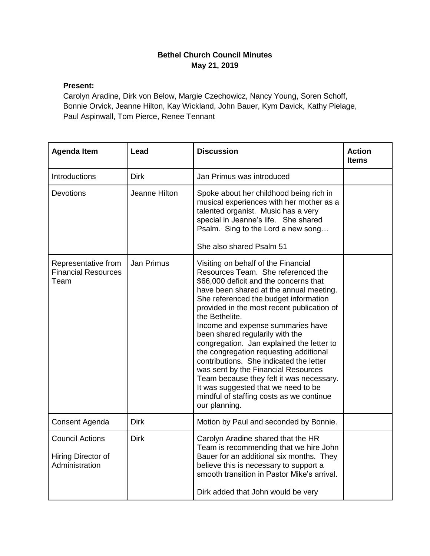## **Bethel Church Council Minutes May 21, 2019**

## **Present:**

Carolyn Aradine, Dirk von Below, Margie Czechowicz, Nancy Young, Soren Schoff, Bonnie Orvick, Jeanne Hilton, Kay Wickland, John Bauer, Kym Davick, Kathy Pielage, Paul Aspinwall, Tom Pierce, Renee Tennant

| <b>Agenda Item</b>                                             | Lead              | <b>Discussion</b>                                                                                                                                                                                                                                                                                                                                                                                                                                                                                                                                                                                                                                                        | <b>Action</b><br><b>Items</b> |
|----------------------------------------------------------------|-------------------|--------------------------------------------------------------------------------------------------------------------------------------------------------------------------------------------------------------------------------------------------------------------------------------------------------------------------------------------------------------------------------------------------------------------------------------------------------------------------------------------------------------------------------------------------------------------------------------------------------------------------------------------------------------------------|-------------------------------|
| Introductions                                                  | <b>Dirk</b>       | Jan Primus was introduced                                                                                                                                                                                                                                                                                                                                                                                                                                                                                                                                                                                                                                                |                               |
| Devotions                                                      | Jeanne Hilton     | Spoke about her childhood being rich in<br>musical experiences with her mother as a<br>talented organist. Music has a very<br>special in Jeanne's life. She shared<br>Psalm. Sing to the Lord a new song<br>She also shared Psalm 51                                                                                                                                                                                                                                                                                                                                                                                                                                     |                               |
| Representative from<br><b>Financial Resources</b><br>Team      | <b>Jan Primus</b> | Visiting on behalf of the Financial<br>Resources Team. She referenced the<br>\$66,000 deficit and the concerns that<br>have been shared at the annual meeting.<br>She referenced the budget information<br>provided in the most recent publication of<br>the Bethelite.<br>Income and expense summaries have<br>been shared regularily with the<br>congregation. Jan explained the letter to<br>the congregation requesting additional<br>contributions. She indicated the letter<br>was sent by the Financial Resources<br>Team because they felt it was necessary.<br>It was suggested that we need to be<br>mindful of staffing costs as we continue<br>our planning. |                               |
| Consent Agenda                                                 | <b>Dirk</b>       | Motion by Paul and seconded by Bonnie.                                                                                                                                                                                                                                                                                                                                                                                                                                                                                                                                                                                                                                   |                               |
| <b>Council Actions</b><br>Hiring Director of<br>Administration | <b>Dirk</b>       | Carolyn Aradine shared that the HR<br>Team is recommending that we hire John<br>Bauer for an additional six months. They<br>believe this is necessary to support a<br>smooth transition in Pastor Mike's arrival.<br>Dirk added that John would be very                                                                                                                                                                                                                                                                                                                                                                                                                  |                               |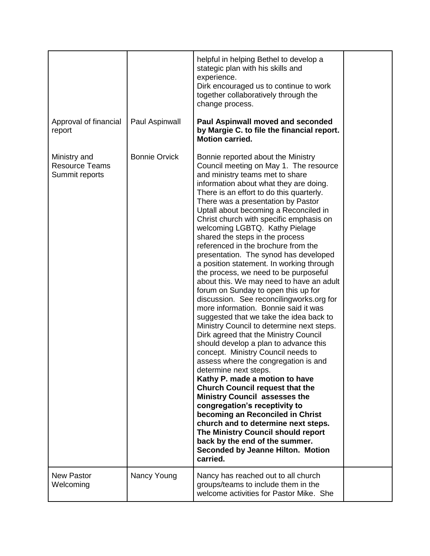|                                                         |                      | helpful in helping Bethel to develop a<br>stategic plan with his skills and<br>experience.<br>Dirk encouraged us to continue to work<br>together collaboratively through the<br>change process.                                                                                                                                                                                                                                                                                                                                                                                                                                                                                                                                                                                                                                                                                                                                                                                                                                                                                                                                                                                                                                                                                                                                                                                                   |  |
|---------------------------------------------------------|----------------------|---------------------------------------------------------------------------------------------------------------------------------------------------------------------------------------------------------------------------------------------------------------------------------------------------------------------------------------------------------------------------------------------------------------------------------------------------------------------------------------------------------------------------------------------------------------------------------------------------------------------------------------------------------------------------------------------------------------------------------------------------------------------------------------------------------------------------------------------------------------------------------------------------------------------------------------------------------------------------------------------------------------------------------------------------------------------------------------------------------------------------------------------------------------------------------------------------------------------------------------------------------------------------------------------------------------------------------------------------------------------------------------------------|--|
| Approval of financial<br>report                         | Paul Aspinwall       | <b>Paul Aspinwall moved and seconded</b><br>by Margie C. to file the financial report.<br><b>Motion carried.</b>                                                                                                                                                                                                                                                                                                                                                                                                                                                                                                                                                                                                                                                                                                                                                                                                                                                                                                                                                                                                                                                                                                                                                                                                                                                                                  |  |
| Ministry and<br><b>Resource Teams</b><br>Summit reports | <b>Bonnie Orvick</b> | Bonnie reported about the Ministry<br>Council meeting on May 1. The resource<br>and ministry teams met to share<br>information about what they are doing.<br>There is an effort to do this quarterly.<br>There was a presentation by Pastor<br>Uptall about becoming a Reconciled in<br>Christ church with specific emphasis on<br>welcoming LGBTQ. Kathy Pielage<br>shared the steps in the process<br>referenced in the brochure from the<br>presentation. The synod has developed<br>a position statement. In working through<br>the process, we need to be purposeful<br>about this. We may need to have an adult<br>forum on Sunday to open this up for<br>discussion. See reconcilingworks.org for<br>more information. Bonnie said it was<br>suggested that we take the idea back to<br>Ministry Council to determine next steps.<br>Dirk agreed that the Ministry Council<br>should develop a plan to advance this<br>concept. Ministry Council needs to<br>assess where the congregation is and<br>determine next steps.<br>Kathy P. made a motion to have<br><b>Church Council request that the</b><br><b>Ministry Council assesses the</b><br>congregation's receptivity to<br>becoming an Reconciled in Christ<br>church and to determine next steps.<br>The Ministry Council should report<br>back by the end of the summer.<br><b>Seconded by Jeanne Hilton. Motion</b><br>carried. |  |
| <b>New Pastor</b><br>Welcoming                          | Nancy Young          | Nancy has reached out to all church<br>groups/teams to include them in the<br>welcome activities for Pastor Mike. She                                                                                                                                                                                                                                                                                                                                                                                                                                                                                                                                                                                                                                                                                                                                                                                                                                                                                                                                                                                                                                                                                                                                                                                                                                                                             |  |